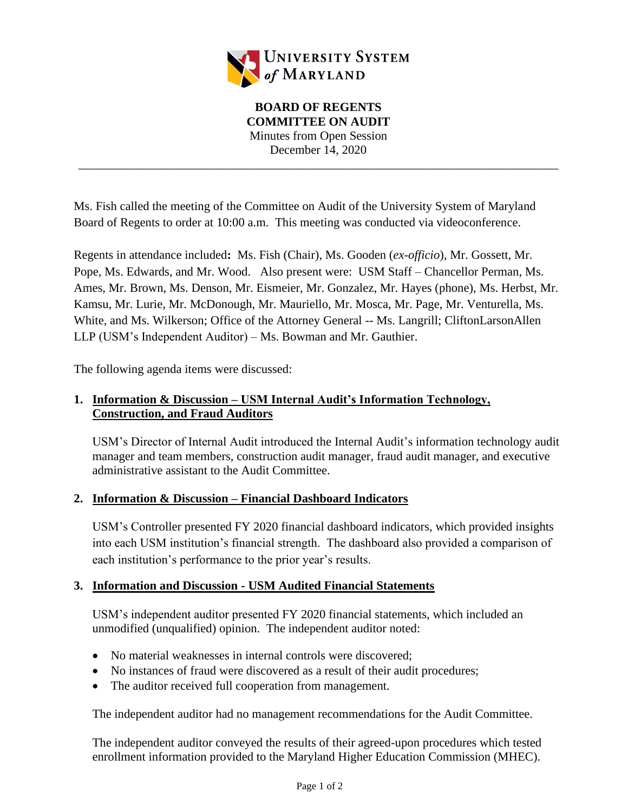

\_\_\_\_\_\_\_\_\_\_\_\_\_\_\_\_\_\_\_\_\_\_\_\_\_\_\_\_\_\_\_\_\_\_\_\_\_\_\_\_\_\_\_\_\_\_\_\_\_\_\_\_\_\_\_\_\_\_\_\_\_\_\_\_\_\_\_\_\_\_\_\_\_\_\_\_\_\_

Ms. Fish called the meeting of the Committee on Audit of the University System of Maryland Board of Regents to order at 10:00 a.m. This meeting was conducted via videoconference.

Regents in attendance included**:** Ms. Fish (Chair), Ms. Gooden (*ex-officio*), Mr. Gossett, Mr. Pope, Ms. Edwards, and Mr. Wood. Also present were: USM Staff – Chancellor Perman, Ms. Ames, Mr. Brown, Ms. Denson, Mr. Eismeier, Mr. Gonzalez, Mr. Hayes (phone), Ms. Herbst, Mr. Kamsu, Mr. Lurie, Mr. McDonough, Mr. Mauriello, Mr. Mosca, Mr. Page, Mr. Venturella, Ms. White, and Ms. Wilkerson; Office of the Attorney General -- Ms. Langrill; CliftonLarsonAllen LLP (USM's Independent Auditor) – Ms. Bowman and Mr. Gauthier.

The following agenda items were discussed:

# **1. Information & Discussion – USM Internal Audit's Information Technology, Construction, and Fraud Auditors**

USM's Director of Internal Audit introduced the Internal Audit's information technology audit manager and team members, construction audit manager, fraud audit manager, and executive administrative assistant to the Audit Committee.

#### **2. Information & Discussion – Financial Dashboard Indicators**

USM's Controller presented FY 2020 financial dashboard indicators, which provided insights into each USM institution's financial strength. The dashboard also provided a comparison of each institution's performance to the prior year's results.

# **3. Information and Discussion - USM Audited Financial Statements**

USM's independent auditor presented FY 2020 financial statements, which included an unmodified (unqualified) opinion. The independent auditor noted:

- No material weaknesses in internal controls were discovered:
- No instances of fraud were discovered as a result of their audit procedures;
- The auditor received full cooperation from management.

The independent auditor had no management recommendations for the Audit Committee.

The independent auditor conveyed the results of their agreed-upon procedures which tested enrollment information provided to the Maryland Higher Education Commission (MHEC).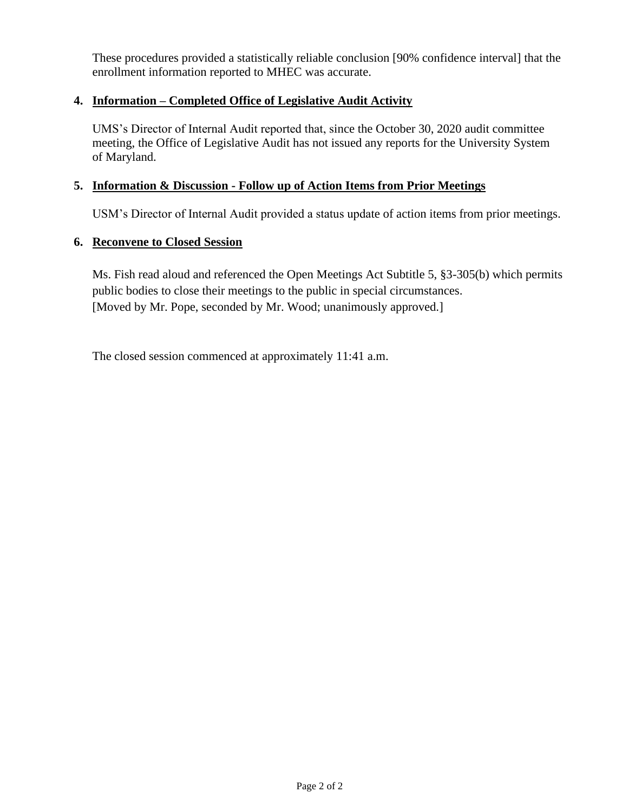These procedures provided a statistically reliable conclusion [90% confidence interval] that the enrollment information reported to MHEC was accurate.

## **4. Information – Completed Office of Legislative Audit Activity**

UMS's Director of Internal Audit reported that, since the October 30, 2020 audit committee meeting, the Office of Legislative Audit has not issued any reports for the University System of Maryland.

### **5. Information & Discussion - Follow up of Action Items from Prior Meetings**

USM's Director of Internal Audit provided a status update of action items from prior meetings.

# **6. Reconvene to Closed Session**

Ms. Fish read aloud and referenced the Open Meetings Act Subtitle 5, §3-305(b) which permits public bodies to close their meetings to the public in special circumstances. [Moved by Mr. Pope, seconded by Mr. Wood; unanimously approved.]

The closed session commenced at approximately 11:41 a.m.